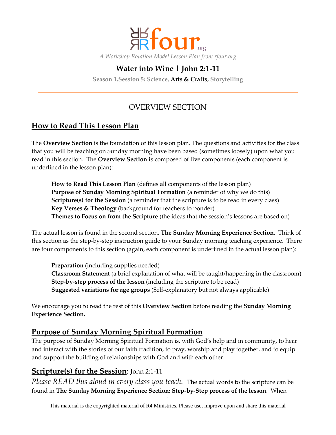

# **Water into Wine | John 2:1-11**

**Season 1.Session 5: Science, Arts & Crafts, Storytelling**

## OVERVIEW SECTION

## **How to Read This Lesson Plan**

The **Overview Section** is the foundation of this lesson plan. The questions and activities for the class that you will be teaching on Sunday morning have been based (sometimes loosely) upon what you read in this section. The **Overview Section i**s composed of five components (each component is underlined in the lesson plan):

**How to Read This Lesson Plan** (defines all components of the lesson plan) **Purpose of Sunday Morning Spiritual Formation** (a reminder of why we do this) **Scripture(s) for the Session** (a reminder that the scripture is to be read in every class) **Key Verses & Theology** (background for teachers to ponder) **Themes to Focus on from the Scripture** (the ideas that the session's lessons are based on)

The actual lesson is found in the second section, **The Sunday Morning Experience Section.** Think of this section as the step-by-step instruction guide to your Sunday morning teaching experience. There are four components to this section (again, each component is underlined in the actual lesson plan):

**Preparation** (including supplies needed) **Classroom Statement** (a brief explanation of what will be taught/happening in the classroom) **Step-by-step process of the lesson** (including the scripture to be read) **Suggested variations for age groups** (Self-explanatory but not always applicable)

We encourage you to read the rest of this **Overview Section** before reading the **Sunday Morning Experience Section.**

## **Purpose of Sunday Morning Spiritual Formation**

The purpose of Sunday Morning Spiritual Formation is, with God's help and in community, to hear and interact with the stories of our faith tradition, to pray, worship and play together, and to equip and support the building of relationships with God and with each other.

## **Scripture(s) for the Session**: John 2:1-11

*Please READ this aloud in every class you teach.* The actual words to the scripture can be found in **The Sunday Morning Experience Section: Step-by-Step process of the lesson**. When

This material is the copyrighted material of R4 Ministries. Please use, improve upon and share this material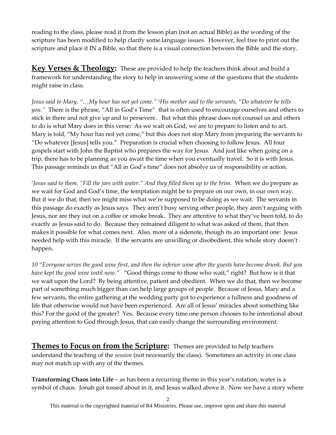reading to the class, please read it from the lesson plan (not an actual Bible) as the wording of the scripture has been modified to help clarify some language issues. However, feel free to print out the scripture and place it IN a Bible, so that there is a visual connection between the Bible and the story.

**Key Verses & Theology:** These are provided to help the teachers think about and build a framework for understanding the story to help in answering some of the questions that the students might raise in class.

*Jesus said to Mary, "…My hour has not yet come." 5His mother said to the servants, "Do whatever he tells you."* There is the phrase, "All in God's Time" that is often used to encourage ourselves and others to stick in there and not give up and to persevere. But what this phrase does not counsel us and others to do is what Mary does in this verse: As we wait on God, we are to prepare to listen and to act. Mary is told, "My hour has not yet come," but this does not stop Mary from preparing the servants to "Do whatever [Jesus] tells you." Preparation is crucial when choosing to follow Jesus. All four gospels start with John the Baptist who prepares the way for Jesus. And just like when going on a trip, there has to be planning as you await the time when you eventually travel. So it is with Jesus. This passage reminds us that "All in God's time" does not absolve us of responsibility or action.

*7 Jesus said to them, "Fill the jars with water." And they filled them up to the brim.* When we do prepare as we wait for God and God's time, the temptation might be to prepare on our own, in our own way. But if we do that, then we might miss what we're supposed to be doing as we wait. The servants in this passage do exactly as Jesus says. They aren't busy serving other people, they aren't arguing with Jesus, nor are they out on a coffee or smoke break. They are attentive to what they've been told, to do exactly as Jesus said to do. Because they remained diligent to what was asked of them, that then makes it possible for what comes next. Also, more of a sidenote, though its an important one: Jesus needed help with this miracle. If the servants are unwilling or disobedient, this whole story doesn't happen.

*10 "Everyone serves the good wine first, and then the inferior wine after the guests have become drunk. But you have kept the good wine until now."* "Good things come to those who wait," right? But how is it that we wait upon the Lord? By being attentive, patient and obedient. When we do that, then we become part of something much bigger than can help large groups of people. Because of Jesus, Mary and a few servants, the entire gathering at the wedding party got to experience a fullness and goodness of life that otherwise would not have been experienced. Are all of Jesus' miracles about something like this? For the good of the greater? Yes. Because every time one person chooses to be intentional about paying attention to God through Jesus, that can easily change the surrounding environment.

**Themes to Focus on from the Scripture:** Themes are provided to help teachers understand the teaching of the *session* (not necessarily the class). Sometimes an activity in one class may not match up with any of the themes.

**Transforming Chaos into Life** – as has been a recurring theme in this year's rotation, water is a symbol of chaos. Jonah got tossed about in it, and Jesus walked above it. Now we have a story where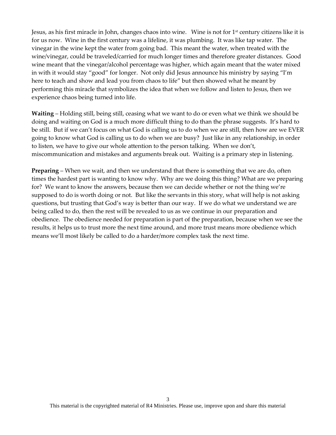Jesus, as his first miracle in John, changes chaos into wine. Wine is not for 1<sup>st</sup> century citizens like it is for us now. Wine in the first century was a lifeline, it was plumbing. It was like tap water. The vinegar in the wine kept the water from going bad. This meant the water, when treated with the wine/vinegar, could be traveled/carried for much longer times and therefore greater distances. Good wine meant that the vinegar/alcohol percentage was higher, which again meant that the water mixed in with it would stay "good" for longer. Not only did Jesus announce his ministry by saying "I'm here to teach and show and lead you from chaos to life" but then showed what he meant by performing this miracle that symbolizes the idea that when we follow and listen to Jesus, then we experience chaos being turned into life.

**Waiting** – Holding still, being still, ceasing what we want to do or even what we think we should be doing and waiting on God is a much more difficult thing to do than the phrase suggests. It's hard to be still. But if we can't focus on what God is calling us to do when we are still, then how are we EVER going to know what God is calling us to do when we are busy? Just like in any relationship, in order to listen, we have to give our whole attention to the person talking. When we don't, miscommunication and mistakes and arguments break out. Waiting is a primary step in listening.

**Preparing** – When we wait, and then we understand that there is something that we are do, often times the hardest part is wanting to know why. Why are we doing this thing? What are we preparing for? We want to know the answers, because then we can decide whether or not the thing we're supposed to do is worth doing or not. But like the servants in this story, what will help is not asking questions, but trusting that God's way is better than our way. If we do what we understand we are being called to do, then the rest will be revealed to us as we continue in our preparation and obedience. The obedience needed for preparation is part of the preparation, because when we see the results, it helps us to trust more the next time around, and more trust means more obedience which means we'll most likely be called to do a harder/more complex task the next time.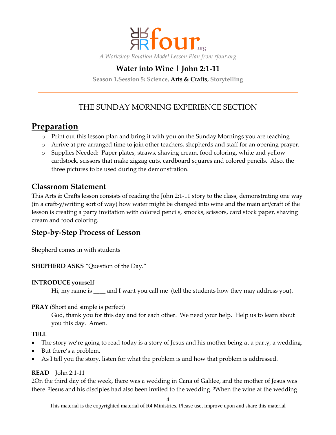

# **Water into Wine | John 2:1-11**

**Season 1.Session 5: Science, Arts & Crafts, Storytelling**

## THE SUNDAY MORNING EXPERIENCE SECTION

# **Preparation**

- o Print out this lesson plan and bring it with you on the Sunday Mornings you are teaching
- o Arrive at pre-arranged time to join other teachers, shepherds and staff for an opening prayer.
- o Supplies Needed: Paper plates, straws, shaving cream, food coloring, white and yellow cardstock, scissors that make zigzag cuts, cardboard squares and colored pencils. Also, the three pictures to be used during the demonstration.

### **Classroom Statement**

This Arts & Crafts lesson consists of reading the John 2:1-11 story to the class, demonstrating one way (in a craft-y/writing sort of way) how water might be changed into wine and the main art/craft of the lesson is creating a party invitation with colored pencils, smocks, scissors, card stock paper, shaving cream and food coloring.

### **Step-by-Step Process of Lesson**

Shepherd comes in with students

**SHEPHERD ASKS** "Question of the Day."

#### **INTRODUCE yourself**

Hi, my name is and I want you call me (tell the students how they may address you).

#### **PRAY** (Short and simple is perfect)

God, thank you for this day and for each other. We need your help. Help us to learn about you this day. Amen.

#### **TELL**

- The story we're going to read today is a story of Jesus and his mother being at a party, a wedding.
- But there's a problem.
- As I tell you the story, listen for what the problem is and how that problem is addressed.

#### **READ** John 2:1-11

2On the third day of the week, there was a wedding in Cana of Galilee, and the mother of Jesus was there. <sup>2</sup> Jesus and his disciples had also been invited to the wedding. 3When the wine at the wedding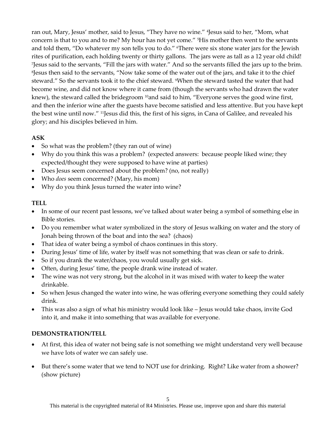ran out, Mary, Jesus' mother, said to Jesus, "They have no wine." <sup>4</sup> Jesus said to her, "Mom, what concern is that to you and to me? My hour has not yet come." 5His mother then went to the servants and told them, "Do whatever my son tells you to do." 6There were six stone water jars for the Jewish rites of purification, each holding twenty or thirty gallons. The jars were as tall as a 12 year old child! 7 Jesus said to the servants, "Fill the jars with water." And so the servants filled the jars up to the brim. 8 Jesus then said to the servants, "Now take some of the water out of the jars, and take it to the chief steward." So the servants took it to the chief steward. When the steward tasted the water that had become wine, and did not know where it came from (though the servants who had drawn the water knew), the steward called the bridegroom <sup>10</sup>and said to him, "Everyone serves the good wine first, and then the inferior wine after the guests have become satisfied and less attentive. But you have kept the best wine until now." 11Jesus did this, the first of his signs, in Cana of Galilee, and revealed his glory; and his disciples believed in him.

#### **ASK**

- So what was the problem? (they ran out of wine)
- Why do you think this was a problem? (expected answers: because people liked wine; they expected/thought they were supposed to have wine at parties)
- Does Jesus seem concerned about the problem? (no, not really)
- Who *does* seem concerned? (Mary, his mom)
- Why do you think Jesus turned the water into wine?

#### **TELL**

- In some of our recent past lessons, we've talked about water being a symbol of something else in Bible stories.
- Do you remember what water symbolized in the story of Jesus walking on water and the story of Jonah being thrown of the boat and into the sea? (chaos)
- That idea of water being a symbol of chaos continues in this story.
- During Jesus' time of life, water by itself was not something that was clean or safe to drink.
- So if you drank the water/chaos, you would usually get sick.
- Often, during Jesus' time, the people drank wine instead of water.
- The wine was not very strong, but the alcohol in it was mixed with water to keep the water drinkable.
- So when Jesus changed the water into wine, he was offering everyone something they could safely drink.
- This was also a sign of what his ministry would look like Jesus would take chaos, invite God into it, and make it into something that was available for everyone.

### **DEMONSTRATION/TELL**

- At first, this idea of water not being safe is not something we might understand very well because we have lots of water we can safely use.
- But there's some water that we tend to NOT use for drinking. Right? Like water from a shower? (show picture)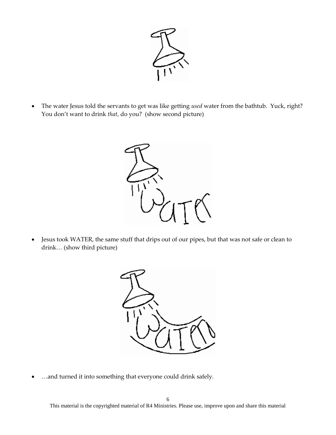

 The water Jesus told the servants to get was like getting *used* water from the bathtub. Yuck, right? You don't want to drink *that*, do you? (show second picture)



 Jesus took WATER, the same stuff that drips out of our pipes, but that was not safe or clean to drink… (show third picture)



…and turned it into something that everyone could drink safely.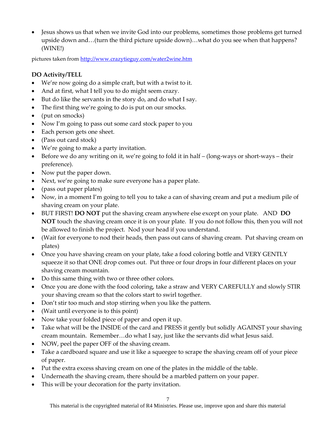Jesus shows us that when we invite God into our problems, sometimes those problems get turned upside down and…(turn the third picture upside down)…what do you see when that happens? (WINE!)

pictures taken fro[m http://www.crazytieguy.com/water2wine.htm](http://www.crazytieguy.com/water2wine.htm)

### **DO Activity/TELL**

- We're now going do a simple craft, but with a twist to it.
- And at first, what I tell you to do might seem crazy.
- But do like the servants in the story do, and do what I say.
- The first thing we're going to do is put on our smocks.
- (put on smocks)
- Now I'm going to pass out some card stock paper to you
- Each person gets one sheet.
- (Pass out card stock)
- We're going to make a party invitation.
- Before we do any writing on it, we're going to fold it in half (long-ways or short-ways their preference).
- Now put the paper down.
- Next, we're going to make sure everyone has a paper plate.
- (pass out paper plates)
- Now, in a moment I'm going to tell you to take a can of shaving cream and put a medium pile of shaving cream on your plate.
- BUT FIRST! **DO NOT** put the shaving cream anywhere else except on your plate. AND **DO NOT** touch the shaving cream once it is on your plate. If you do not follow this, then you will not be allowed to finish the project. Nod your head if you understand.
- (Wait for everyone to nod their heads, then pass out cans of shaving cream. Put shaving cream on plates)
- Once you have shaving cream on your plate, take a food coloring bottle and VERY GENTLY squeeze it so that ONE drop comes out. Put three or four drops in four different places on your shaving cream mountain.
- Do this same thing with two or three other colors.
- Once you are done with the food coloring, take a straw and VERY CAREFULLY and slowly STIR your shaving cream so that the colors start to swirl together.
- Don't stir too much and stop stirring when you like the pattern.
- (Wait until everyone is to this point)
- Now take your folded piece of paper and open it up.
- Take what will be the INSIDE of the card and PRESS it gently but solidly AGAINST your shaving cream mountain. Remember…do what I say, just like the servants did what Jesus said.
- NOW, peel the paper OFF of the shaving cream.
- Take a cardboard square and use it like a squeegee to scrape the shaving cream off of your piece of paper.
- Put the extra excess shaving cream on one of the plates in the middle of the table.
- Underneath the shaving cream, there should be a marbled pattern on your paper.
- This will be your decoration for the party invitation.